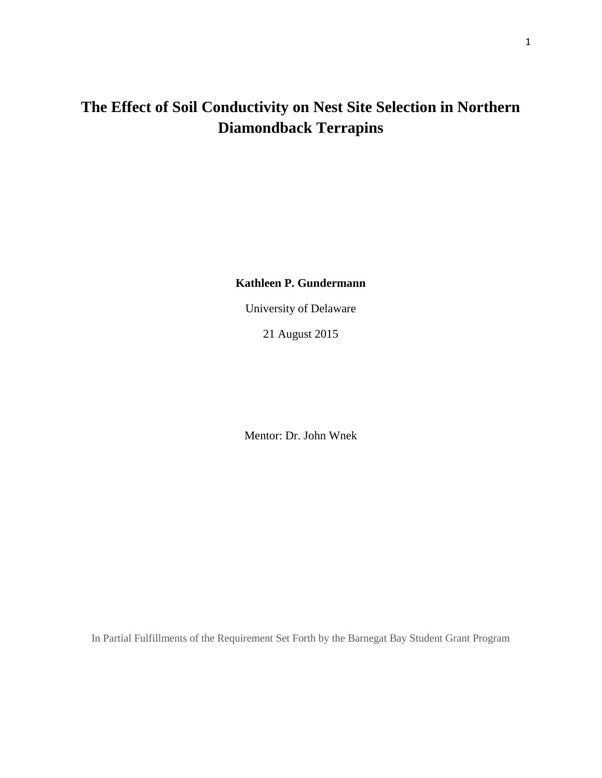# **The Effect of Soil Conductivity on Nest Site Selection in Northern Diamondback Terrapins**

**Kathleen P. Gundermann**

University of Delaware

21 August 2015

Mentor: Dr. John Wnek

In Partial Fulfillments of the Requirement Set Forth by the Barnegat Bay Student Grant Program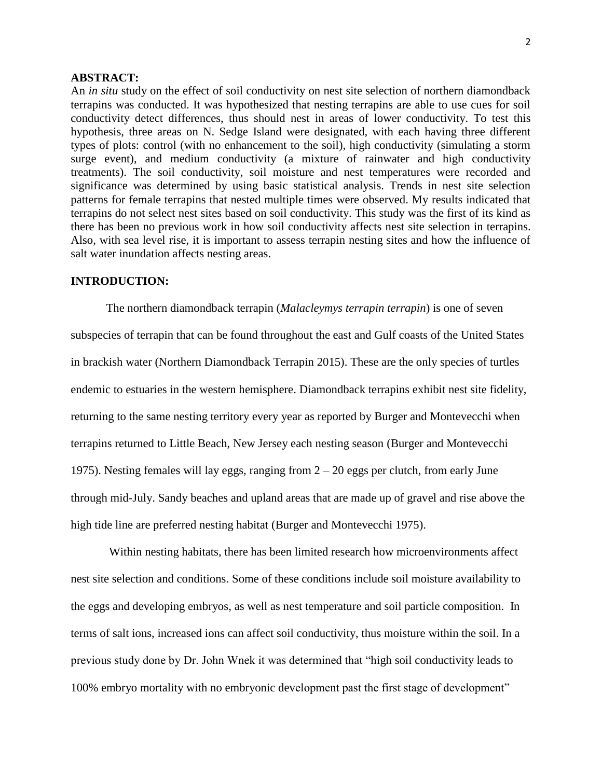## **ABSTRACT:**

An *in situ* study on the effect of soil conductivity on nest site selection of northern diamondback terrapins was conducted. It was hypothesized that nesting terrapins are able to use cues for soil conductivity detect differences, thus should nest in areas of lower conductivity. To test this hypothesis, three areas on N. Sedge Island were designated, with each having three different types of plots: control (with no enhancement to the soil), high conductivity (simulating a storm surge event), and medium conductivity (a mixture of rainwater and high conductivity treatments). The soil conductivity, soil moisture and nest temperatures were recorded and significance was determined by using basic statistical analysis. Trends in nest site selection patterns for female terrapins that nested multiple times were observed. My results indicated that terrapins do not select nest sites based on soil conductivity. This study was the first of its kind as there has been no previous work in how soil conductivity affects nest site selection in terrapins. Also, with sea level rise, it is important to assess terrapin nesting sites and how the influence of salt water inundation affects nesting areas.

# **INTRODUCTION:**

The northern diamondback terrapin (*Malacleymys terrapin terrapin*) is one of seven subspecies of terrapin that can be found throughout the east and Gulf coasts of the United States in brackish water (Northern Diamondback Terrapin 2015). These are the only species of turtles endemic to estuaries in the western hemisphere. Diamondback terrapins exhibit nest site fidelity, returning to the same nesting territory every year as reported by Burger and Montevecchi when terrapins returned to Little Beach, New Jersey each nesting season (Burger and Montevecchi 1975). Nesting females will lay eggs, ranging from 2 – 20 eggs per clutch, from early June through mid-July. Sandy beaches and upland areas that are made up of gravel and rise above the high tide line are preferred nesting habitat (Burger and Montevecchi 1975).

Within nesting habitats, there has been limited research how microenvironments affect nest site selection and conditions. Some of these conditions include soil moisture availability to the eggs and developing embryos, as well as nest temperature and soil particle composition. In terms of salt ions, increased ions can affect soil conductivity, thus moisture within the soil. In a previous study done by Dr. John Wnek it was determined that "high soil conductivity leads to 100% embryo mortality with no embryonic development past the first stage of development"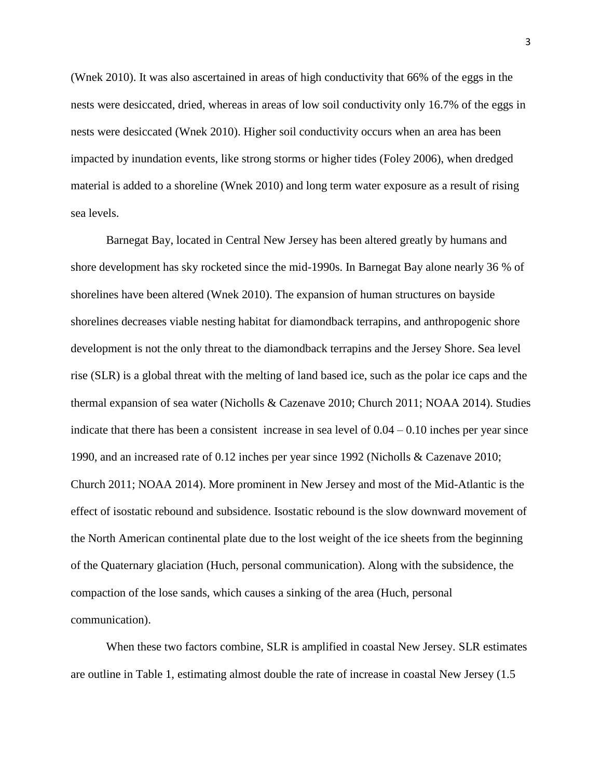(Wnek 2010). It was also ascertained in areas of high conductivity that 66% of the eggs in the nests were desiccated, dried, whereas in areas of low soil conductivity only 16.7% of the eggs in nests were desiccated (Wnek 2010). Higher soil conductivity occurs when an area has been impacted by inundation events, like strong storms or higher tides (Foley 2006), when dredged material is added to a shoreline (Wnek 2010) and long term water exposure as a result of rising sea levels.

Barnegat Bay, located in Central New Jersey has been altered greatly by humans and shore development has sky rocketed since the mid-1990s. In Barnegat Bay alone nearly 36 % of shorelines have been altered (Wnek 2010). The expansion of human structures on bayside shorelines decreases viable nesting habitat for diamondback terrapins, and anthropogenic shore development is not the only threat to the diamondback terrapins and the Jersey Shore. Sea level rise (SLR) is a global threat with the melting of land based ice, such as the polar ice caps and the thermal expansion of sea water (Nicholls & Cazenave 2010; Church 2011; NOAA 2014). Studies indicate that there has been a consistent increase in sea level of  $0.04 - 0.10$  inches per year since 1990, and an increased rate of 0.12 inches per year since 1992 (Nicholls & Cazenave 2010; Church 2011; NOAA 2014). More prominent in New Jersey and most of the Mid-Atlantic is the effect of isostatic rebound and subsidence. Isostatic rebound is the slow downward movement of the North American continental plate due to the lost weight of the ice sheets from the beginning of the Quaternary glaciation (Huch, personal communication). Along with the subsidence, the compaction of the lose sands, which causes a sinking of the area (Huch, personal communication).

When these two factors combine, SLR is amplified in coastal New Jersey. SLR estimates are outline in Table 1, estimating almost double the rate of increase in coastal New Jersey (1.5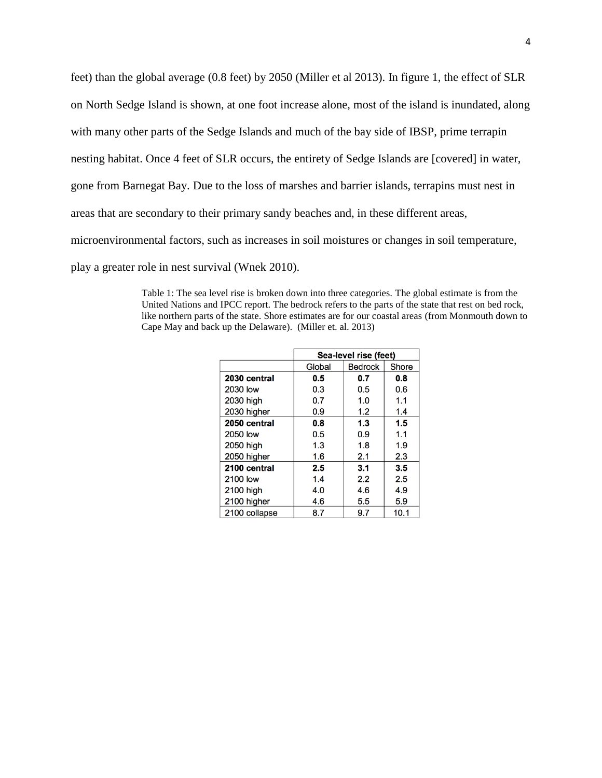feet) than the global average (0.8 feet) by 2050 (Miller et al 2013). In figure 1, the effect of SLR on North Sedge Island is shown, at one foot increase alone, most of the island is inundated, along with many other parts of the Sedge Islands and much of the bay side of IBSP, prime terrapin nesting habitat. Once 4 feet of SLR occurs, the entirety of Sedge Islands are [covered] in water, gone from Barnegat Bay. Due to the loss of marshes and barrier islands, terrapins must nest in areas that are secondary to their primary sandy beaches and, in these different areas, microenvironmental factors, such as increases in soil moistures or changes in soil temperature, play a greater role in nest survival (Wnek 2010).

> Table 1: The sea level rise is broken down into three categories. The global estimate is from the United Nations and IPCC report. The bedrock refers to the parts of the state that rest on bed rock, like northern parts of the state. Shore estimates are for our coastal areas (from Monmouth down to Cape May and back up the Delaware). (Miller et. al. 2013)

|               | Sea-level rise (feet) |                |       |  |
|---------------|-----------------------|----------------|-------|--|
|               | Global                | <b>Bedrock</b> | Shore |  |
| 2030 central  | 0.5                   | 0.7            | 0.8   |  |
| 2030 low      | 0.3                   | 0.5            | 0.6   |  |
| 2030 high     | 0.7                   | 1.0            | 1.1   |  |
| 2030 higher   | 0.9                   | 1.2            | 1.4   |  |
| 2050 central  | 0.8                   | 1.3            | 1.5   |  |
| 2050 low      | 0.5                   | 0.9            | 1.1   |  |
| 2050 high     | 1.3                   | 1.8            | 1.9   |  |
| 2050 higher   | 1.6                   | 2.1            | 2.3   |  |
| 2100 central  | 2.5                   | 3.1            | 3.5   |  |
| 2100 low      | 1.4                   | 2.2            | 2.5   |  |
| 2100 high     | 4.0                   | 4.6            | 4.9   |  |
| 2100 higher   | 4.6                   | 5.5            | 5.9   |  |
| 2100 collapse | 8.7                   | 9.7            | 10.1  |  |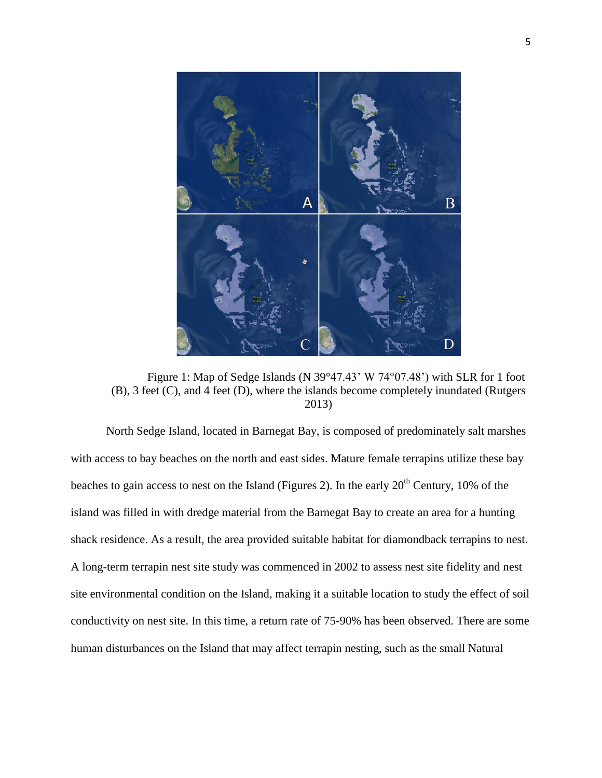

Figure 1: Map of Sedge Islands (N 39°47.43' W 74°07.48') with SLR for 1 foot (B), 3 feet (C), and 4 feet (D), where the islands become completely inundated (Rutgers 2013)

North Sedge Island, located in Barnegat Bay, is composed of predominately salt marshes with access to bay beaches on the north and east sides. Mature female terrapins utilize these bay beaches to gain access to nest on the Island (Figures 2). In the early 20<sup>th</sup> Century, 10% of the island was filled in with dredge material from the Barnegat Bay to create an area for a hunting shack residence. As a result, the area provided suitable habitat for diamondback terrapins to nest. A long-term terrapin nest site study was commenced in 2002 to assess nest site fidelity and nest site environmental condition on the Island, making it a suitable location to study the effect of soil conductivity on nest site. In this time, a return rate of 75-90% has been observed. There are some human disturbances on the Island that may affect terrapin nesting, such as the small Natural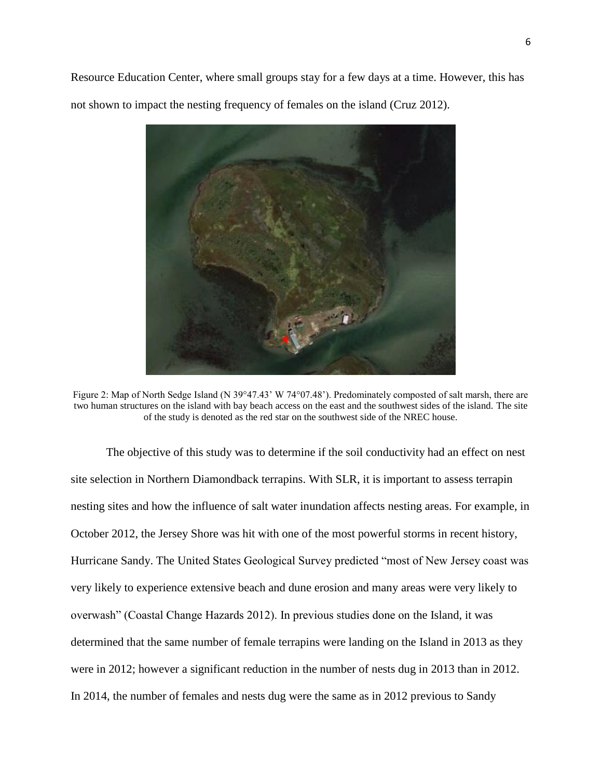Resource Education Center, where small groups stay for a few days at a time. However, this has not shown to impact the nesting frequency of females on the island (Cruz 2012).



Figure 2: Map of North Sedge Island (N 39°47.43' W 74°07.48'). Predominately composted of salt marsh, there are two human structures on the island with bay beach access on the east and the southwest sides of the island. The site of the study is denoted as the red star on the southwest side of the NREC house.

The objective of this study was to determine if the soil conductivity had an effect on nest site selection in Northern Diamondback terrapins. With SLR, it is important to assess terrapin nesting sites and how the influence of salt water inundation affects nesting areas. For example, in October 2012, the Jersey Shore was hit with one of the most powerful storms in recent history, Hurricane Sandy. The United States Geological Survey predicted "most of New Jersey coast was very likely to experience extensive beach and dune erosion and many areas were very likely to overwash" (Coastal Change Hazards 2012). In previous studies done on the Island, it was determined that the same number of female terrapins were landing on the Island in 2013 as they were in 2012; however a significant reduction in the number of nests dug in 2013 than in 2012. In 2014, the number of females and nests dug were the same as in 2012 previous to Sandy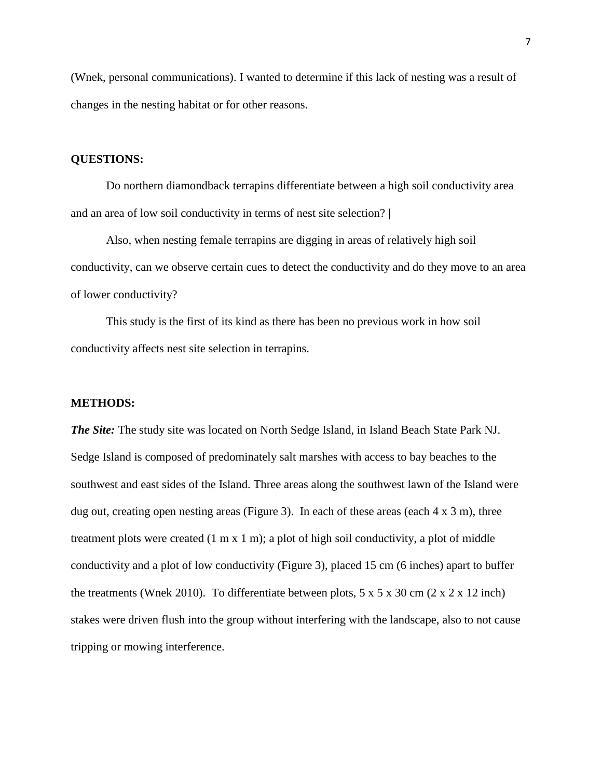(Wnek, personal communications). I wanted to determine if this lack of nesting was a result of changes in the nesting habitat or for other reasons.

## **QUESTIONS:**

Do northern diamondback terrapins differentiate between a high soil conductivity area and an area of low soil conductivity in terms of nest site selection? |

Also, when nesting female terrapins are digging in areas of relatively high soil conductivity, can we observe certain cues to detect the conductivity and do they move to an area of lower conductivity?

This study is the first of its kind as there has been no previous work in how soil conductivity affects nest site selection in terrapins.

#### **METHODS:**

*The Site:* The study site was located on North Sedge Island, in Island Beach State Park NJ. Sedge Island is composed of predominately salt marshes with access to bay beaches to the southwest and east sides of the Island. Three areas along the southwest lawn of the Island were dug out, creating open nesting areas (Figure 3). In each of these areas (each  $4 \times 3$  m), three treatment plots were created (1 m x 1 m); a plot of high soil conductivity, a plot of middle conductivity and a plot of low conductivity (Figure 3), placed 15 cm (6 inches) apart to buffer the treatments (Wnek 2010). To differentiate between plots,  $5 \times 5 \times 30$  cm  $(2 \times 2 \times 12$  inch) stakes were driven flush into the group without interfering with the landscape, also to not cause tripping or mowing interference.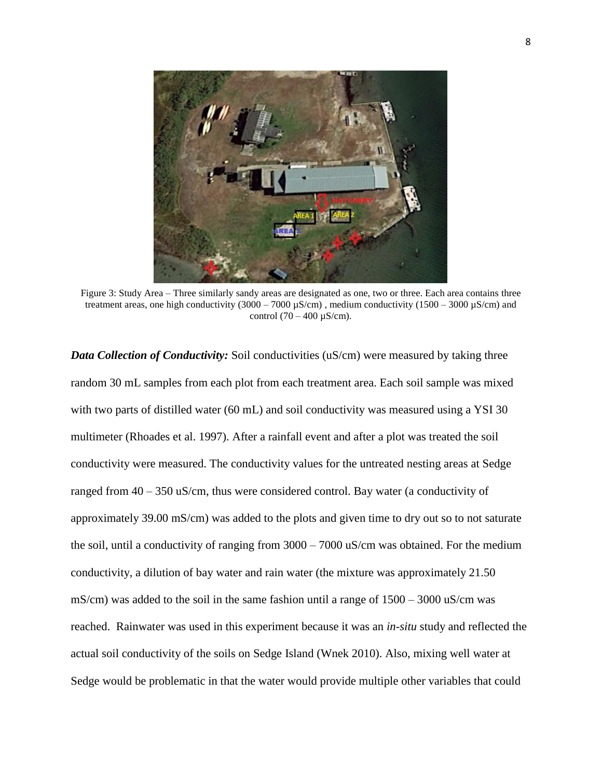

Figure 3: Study Area – Three similarly sandy areas are designated as one, two or three. Each area contains three treatment areas, one high conductivity  $(3000 - 7000 \,\mu\text{S/cm})$ , medium conductivity  $(1500 - 3000 \,\mu\text{S/cm})$  and control  $(70 - 400 \text{ µS/cm}).$ 

*Data Collection of Conductivity:* Soil conductivities (uS/cm) were measured by taking three random 30 mL samples from each plot from each treatment area. Each soil sample was mixed with two parts of distilled water (60 mL) and soil conductivity was measured using a YSI 30 multimeter (Rhoades et al. 1997). After a rainfall event and after a plot was treated the soil conductivity were measured. The conductivity values for the untreated nesting areas at Sedge ranged from 40 – 350 uS/cm, thus were considered control. Bay water (a conductivity of approximately 39.00 mS/cm) was added to the plots and given time to dry out so to not saturate the soil, until a conductivity of ranging from 3000 – 7000 uS/cm was obtained. For the medium conductivity, a dilution of bay water and rain water (the mixture was approximately 21.50 mS/cm) was added to the soil in the same fashion until a range of  $1500 - 3000$  uS/cm was reached. Rainwater was used in this experiment because it was an *in-situ* study and reflected the actual soil conductivity of the soils on Sedge Island (Wnek 2010). Also, mixing well water at Sedge would be problematic in that the water would provide multiple other variables that could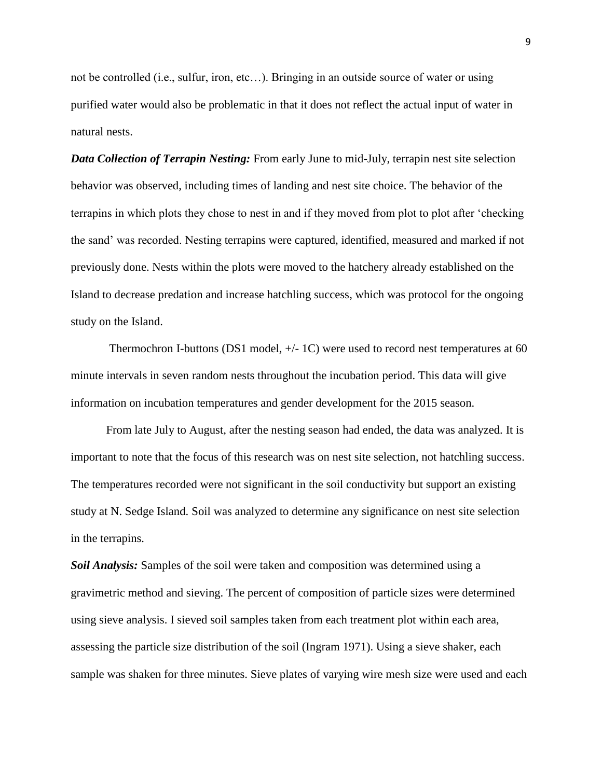not be controlled (i.e., sulfur, iron, etc…). Bringing in an outside source of water or using purified water would also be problematic in that it does not reflect the actual input of water in natural nests.

*Data Collection of Terrapin Nesting:* From early June to mid-July, terrapin nest site selection behavior was observed, including times of landing and nest site choice. The behavior of the terrapins in which plots they chose to nest in and if they moved from plot to plot after 'checking the sand' was recorded. Nesting terrapins were captured, identified, measured and marked if not previously done. Nests within the plots were moved to the hatchery already established on the Island to decrease predation and increase hatchling success, which was protocol for the ongoing study on the Island.

Thermochron I-buttons (DS1 model, +/- 1C) were used to record nest temperatures at 60 minute intervals in seven random nests throughout the incubation period. This data will give information on incubation temperatures and gender development for the 2015 season.

From late July to August, after the nesting season had ended, the data was analyzed. It is important to note that the focus of this research was on nest site selection, not hatchling success. The temperatures recorded were not significant in the soil conductivity but support an existing study at N. Sedge Island. Soil was analyzed to determine any significance on nest site selection in the terrapins.

*Soil Analysis:* Samples of the soil were taken and composition was determined using a gravimetric method and sieving. The percent of composition of particle sizes were determined using sieve analysis. I sieved soil samples taken from each treatment plot within each area, assessing the particle size distribution of the soil (Ingram 1971). Using a sieve shaker, each sample was shaken for three minutes. Sieve plates of varying wire mesh size were used and each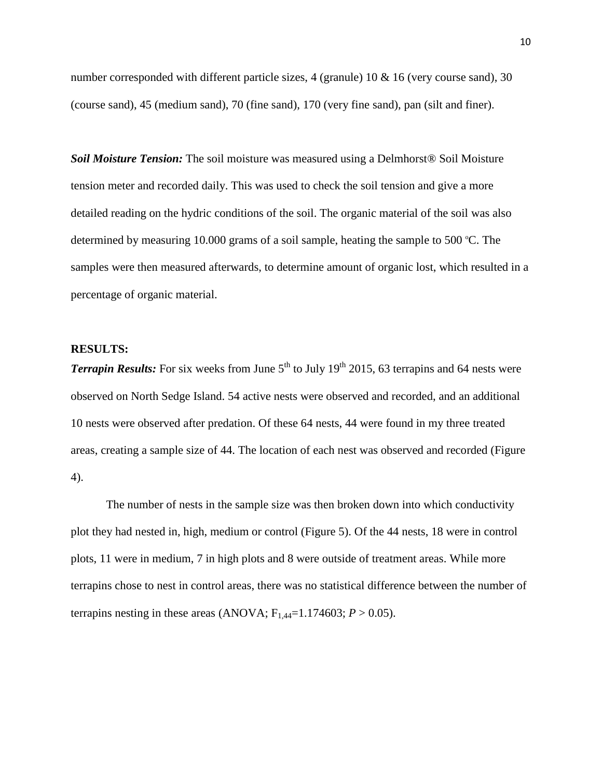number corresponded with different particle sizes, 4 (granule) 10  $\&$  16 (very course sand), 30 (course sand), 45 (medium sand), 70 (fine sand), 170 (very fine sand), pan (silt and finer).

*Soil Moisture Tension:* The soil moisture was measured using a Delmhorst® Soil Moisture tension meter and recorded daily. This was used to check the soil tension and give a more detailed reading on the hydric conditions of the soil. The organic material of the soil was also determined by measuring 10.000 grams of a soil sample, heating the sample to 500  $\degree$ C. The samples were then measured afterwards, to determine amount of organic lost, which resulted in a percentage of organic material.

#### **RESULTS:**

*Terrapin Results:* For six weeks from June  $5<sup>th</sup>$  to July 19<sup>th</sup> 2015, 63 terrapins and 64 nests were observed on North Sedge Island. 54 active nests were observed and recorded, and an additional 10 nests were observed after predation. Of these 64 nests, 44 were found in my three treated areas, creating a sample size of 44. The location of each nest was observed and recorded (Figure 4).

The number of nests in the sample size was then broken down into which conductivity plot they had nested in, high, medium or control (Figure 5). Of the 44 nests, 18 were in control plots, 11 were in medium, 7 in high plots and 8 were outside of treatment areas. While more terrapins chose to nest in control areas, there was no statistical difference between the number of terrapins nesting in these areas (ANOVA;  $F_{1,44}=1.174603$ ;  $P > 0.05$ ).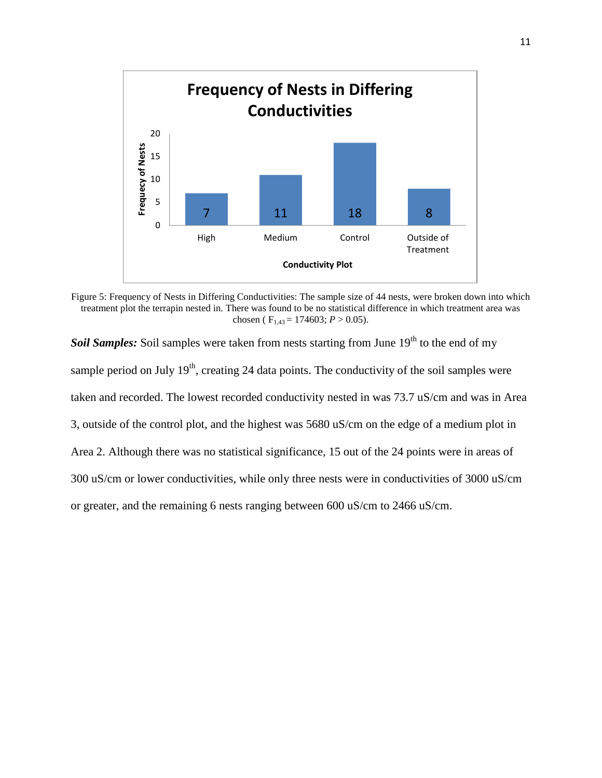

Figure 5: Frequency of Nests in Differing Conductivities: The sample size of 44 nests, were broken down into which treatment plot the terrapin nested in. There was found to be no statistical difference in which treatment area was chosen ( $F_{1,43} = 174603$ ;  $P > 0.05$ ).

**Soil Samples:** Soil samples were taken from nests starting from June 19<sup>th</sup> to the end of my sample period on July  $19<sup>th</sup>$ , creating 24 data points. The conductivity of the soil samples were taken and recorded. The lowest recorded conductivity nested in was 73.7 uS/cm and was in Area 3, outside of the control plot, and the highest was 5680 uS/cm on the edge of a medium plot in Area 2. Although there was no statistical significance, 15 out of the 24 points were in areas of 300 uS/cm or lower conductivities, while only three nests were in conductivities of 3000 uS/cm or greater, and the remaining 6 nests ranging between 600 uS/cm to 2466 uS/cm.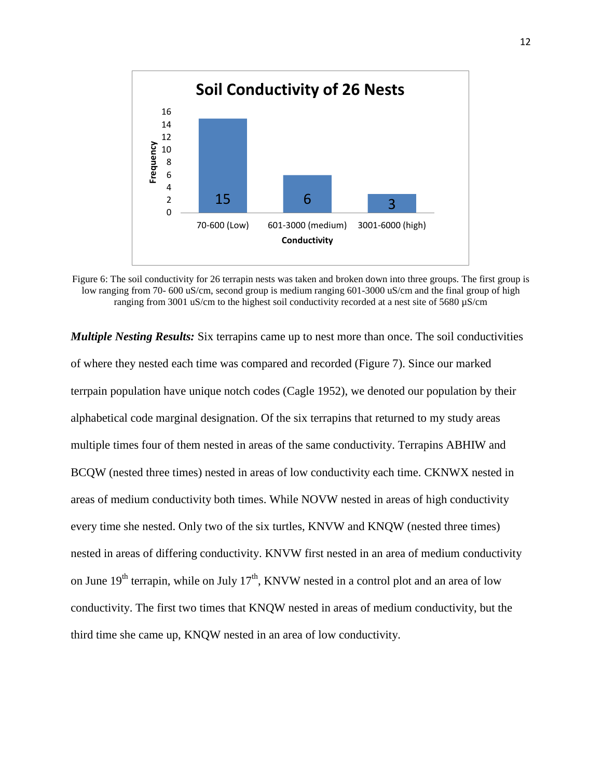

Figure 6: The soil conductivity for 26 terrapin nests was taken and broken down into three groups. The first group is low ranging from 70- 600 uS/cm, second group is medium ranging 601-3000 uS/cm and the final group of high ranging from 3001 uS/cm to the highest soil conductivity recorded at a nest site of 5680 µS/cm

*Multiple Nesting Results:* Six terrapins came up to nest more than once. The soil conductivities of where they nested each time was compared and recorded (Figure 7). Since our marked terrpain population have unique notch codes (Cagle 1952), we denoted our population by their alphabetical code marginal designation. Of the six terrapins that returned to my study areas multiple times four of them nested in areas of the same conductivity. Terrapins ABHIW and BCQW (nested three times) nested in areas of low conductivity each time. CKNWX nested in areas of medium conductivity both times. While NOVW nested in areas of high conductivity every time she nested. Only two of the six turtles, KNVW and KNQW (nested three times) nested in areas of differing conductivity. KNVW first nested in an area of medium conductivity on June  $19<sup>th</sup>$  terrapin, while on July 17<sup>th</sup>, KNVW nested in a control plot and an area of low conductivity. The first two times that KNQW nested in areas of medium conductivity, but the third time she came up, KNQW nested in an area of low conductivity.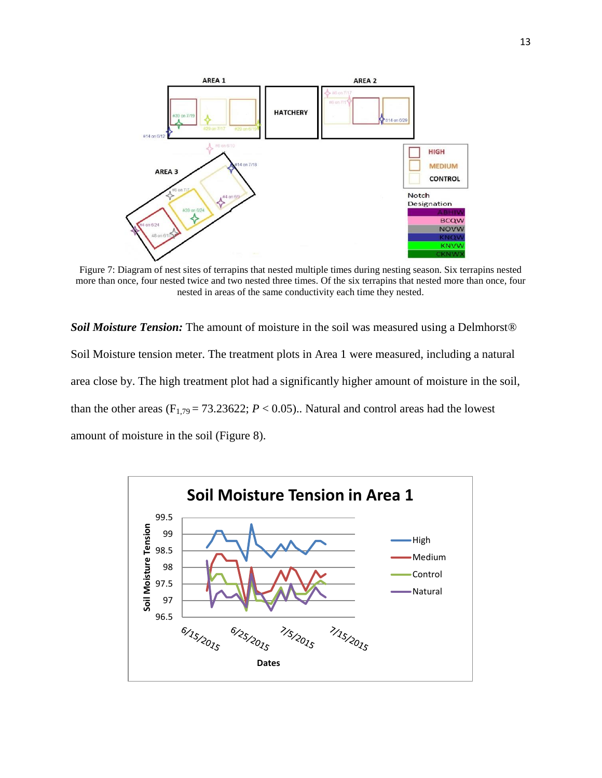

Figure 7: Diagram of nest sites of terrapins that nested multiple times during nesting season. Six terrapins nested more than once, four nested twice and two nested three times. Of the six terrapins that nested more than once, four nested in areas of the same conductivity each time they nested.

*Soil Moisture Tension:* The amount of moisture in the soil was measured using a Delmhorst<sup>®</sup> Soil Moisture tension meter. The treatment plots in Area 1 were measured, including a natural area close by. The high treatment plot had a significantly higher amount of moisture in the soil, than the other areas ( $F_{1,79} = 73.23622$ ;  $P < 0.05$ ).. Natural and control areas had the lowest amount of moisture in the soil (Figure 8).

![](_page_12_Figure_3.jpeg)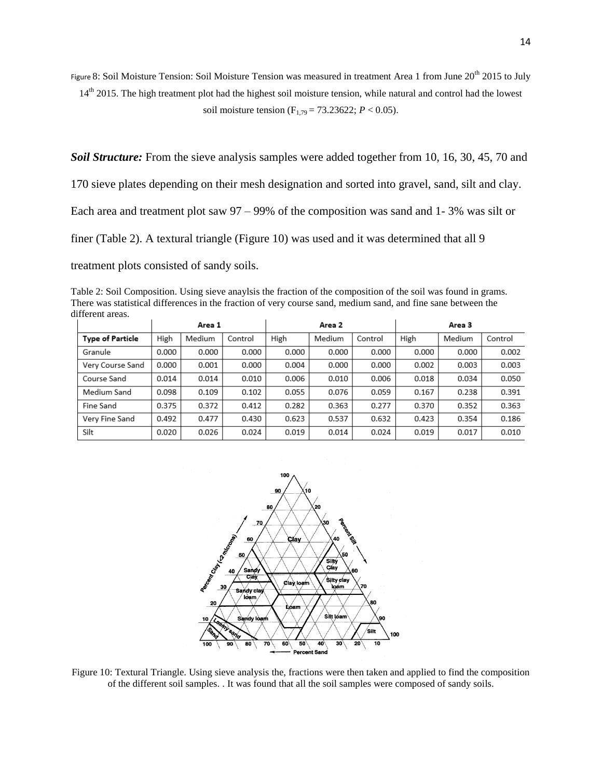Figure 8: Soil Moisture Tension: Soil Moisture Tension was measured in treatment Area 1 from June 20<sup>th</sup> 2015 to July  $14<sup>th</sup>$  2015. The high treatment plot had the highest soil moisture tension, while natural and control had the lowest soil moisture tension (F<sub>1,79</sub> = 73.23622; *P* < 0.05).

*Soil Structure:* From the sieve analysis samples were added together from 10, 16, 30, 45, 70 and

170 sieve plates depending on their mesh designation and sorted into gravel, sand, silt and clay.

Each area and treatment plot saw 97 – 99% of the composition was sand and 1- 3% was silt or

finer (Table 2). A textural triangle (Figure 10) was used and it was determined that all 9

treatment plots consisted of sandy soils.

Table 2: Soil Composition. Using sieve anaylsis the fraction of the composition of the soil was found in grams. There was statistical differences in the fraction of very course sand, medium sand, and fine sane between the different areas.

|                         | Area 1 |        | Area 2  |       | Area 3 |         |       |        |         |
|-------------------------|--------|--------|---------|-------|--------|---------|-------|--------|---------|
| <b>Type of Particle</b> | High   | Medium | Control | High  | Medium | Control | High  | Medium | Control |
| Granule                 | 0.000  | 0.000  | 0.000   | 0.000 | 0.000  | 0.000   | 0.000 | 0.000  | 0.002   |
| Very Course Sand        | 0.000  | 0.001  | 0.000   | 0.004 | 0.000  | 0.000   | 0.002 | 0.003  | 0.003   |
| Course Sand             | 0.014  | 0.014  | 0.010   | 0.006 | 0.010  | 0.006   | 0.018 | 0.034  | 0.050   |
| Medium Sand             | 0.098  | 0.109  | 0.102   | 0.055 | 0.076  | 0.059   | 0.167 | 0.238  | 0.391   |
| Fine Sand               | 0.375  | 0.372  | 0.412   | 0.282 | 0.363  | 0.277   | 0.370 | 0.352  | 0.363   |
| Very Fine Sand          | 0.492  | 0.477  | 0.430   | 0.623 | 0.537  | 0.632   | 0.423 | 0.354  | 0.186   |
| Silt                    | 0.020  | 0.026  | 0.024   | 0.019 | 0.014  | 0.024   | 0.019 | 0.017  | 0.010   |

![](_page_13_Figure_8.jpeg)

Figure 10: Textural Triangle. Using sieve analysis the, fractions were then taken and applied to find the composition of the different soil samples. . It was found that all the soil samples were composed of sandy soils.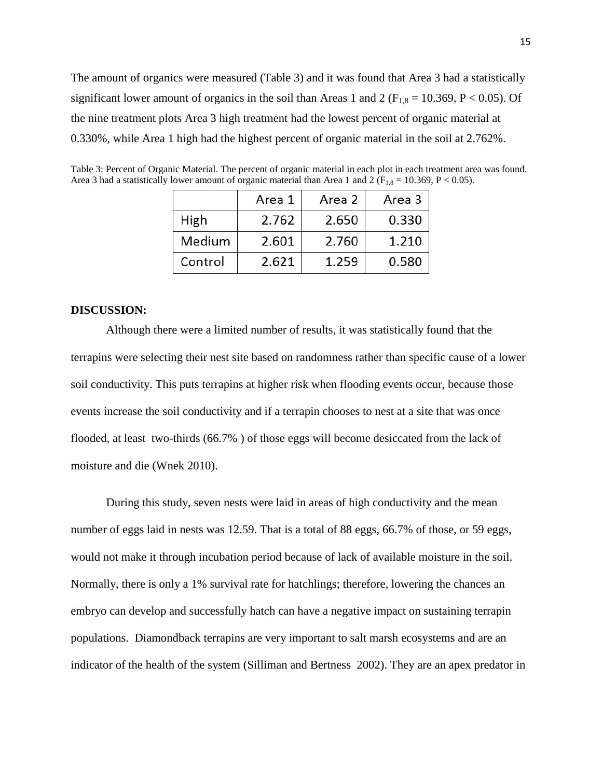The amount of organics were measured (Table 3) and it was found that Area 3 had a statistically significant lower amount of organics in the soil than Areas 1 and 2 ( $F_{1,8} = 10.369$ , P < 0.05). Of the nine treatment plots Area 3 high treatment had the lowest percent of organic material at 0.330%, while Area 1 high had the highest percent of organic material in the soil at 2.762%.

|         | Area 1 | Area 2 | Area 3 |
|---------|--------|--------|--------|
| High    | 2.762  | 2.650  | 0.330  |
| Medium  | 2.601  | 2.760  | 1.210  |
| Control | 2.621  | 1.259  | 0.580  |

Table 3: Percent of Organic Material. The percent of organic material in each plot in each treatment area was found. Area 3 had a statistically lower amount of organic material than Area 1 and 2 ( $F_{1,8} = 10.369$ , P < 0.05).

#### **DISCUSSION:**

Although there were a limited number of results, it was statistically found that the terrapins were selecting their nest site based on randomness rather than specific cause of a lower soil conductivity. This puts terrapins at higher risk when flooding events occur, because those events increase the soil conductivity and if a terrapin chooses to nest at a site that was once flooded, at least two-thirds (66.7% ) of those eggs will become desiccated from the lack of moisture and die (Wnek 2010).

During this study, seven nests were laid in areas of high conductivity and the mean number of eggs laid in nests was 12.59. That is a total of 88 eggs, 66.7% of those, or 59 eggs, would not make it through incubation period because of lack of available moisture in the soil. Normally, there is only a 1% survival rate for hatchlings; therefore, lowering the chances an embryo can develop and successfully hatch can have a negative impact on sustaining terrapin populations. Diamondback terrapins are very important to salt marsh ecosystems and are an indicator of the health of the system (Silliman and Bertness 2002). They are an apex predator in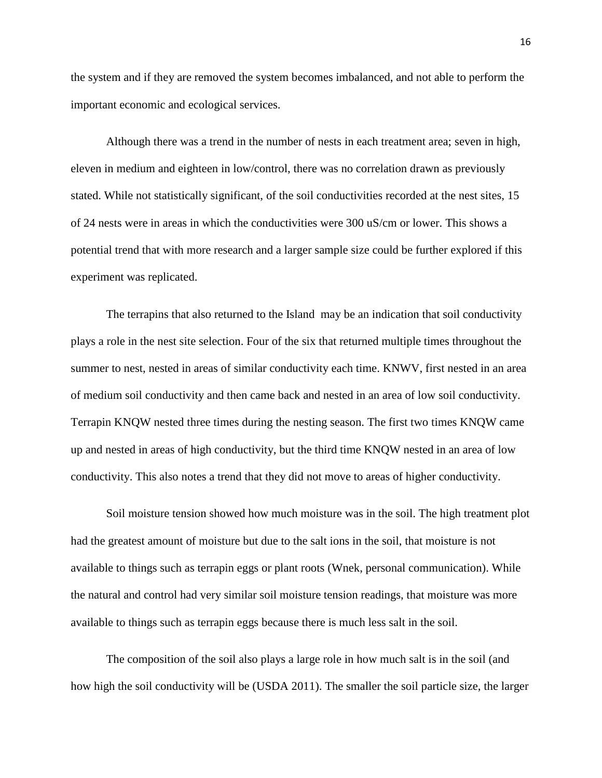the system and if they are removed the system becomes imbalanced, and not able to perform the important economic and ecological services.

Although there was a trend in the number of nests in each treatment area; seven in high, eleven in medium and eighteen in low/control, there was no correlation drawn as previously stated. While not statistically significant, of the soil conductivities recorded at the nest sites, 15 of 24 nests were in areas in which the conductivities were 300 uS/cm or lower. This shows a potential trend that with more research and a larger sample size could be further explored if this experiment was replicated.

The terrapins that also returned to the Island may be an indication that soil conductivity plays a role in the nest site selection. Four of the six that returned multiple times throughout the summer to nest, nested in areas of similar conductivity each time. KNWV, first nested in an area of medium soil conductivity and then came back and nested in an area of low soil conductivity. Terrapin KNQW nested three times during the nesting season. The first two times KNQW came up and nested in areas of high conductivity, but the third time KNQW nested in an area of low conductivity. This also notes a trend that they did not move to areas of higher conductivity.

Soil moisture tension showed how much moisture was in the soil. The high treatment plot had the greatest amount of moisture but due to the salt ions in the soil, that moisture is not available to things such as terrapin eggs or plant roots (Wnek, personal communication). While the natural and control had very similar soil moisture tension readings, that moisture was more available to things such as terrapin eggs because there is much less salt in the soil.

The composition of the soil also plays a large role in how much salt is in the soil (and how high the soil conductivity will be (USDA 2011). The smaller the soil particle size, the larger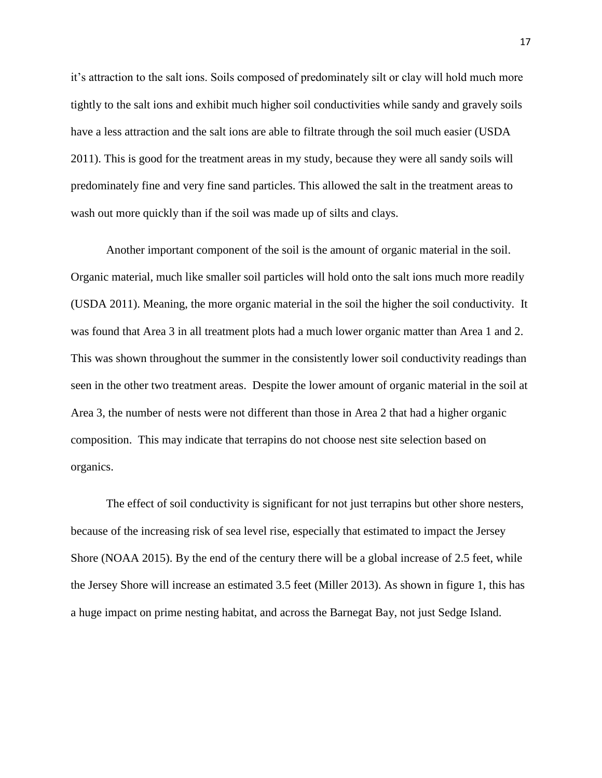it's attraction to the salt ions. Soils composed of predominately silt or clay will hold much more tightly to the salt ions and exhibit much higher soil conductivities while sandy and gravely soils have a less attraction and the salt ions are able to filtrate through the soil much easier (USDA 2011). This is good for the treatment areas in my study, because they were all sandy soils will predominately fine and very fine sand particles. This allowed the salt in the treatment areas to wash out more quickly than if the soil was made up of silts and clays.

Another important component of the soil is the amount of organic material in the soil. Organic material, much like smaller soil particles will hold onto the salt ions much more readily (USDA 2011). Meaning, the more organic material in the soil the higher the soil conductivity. It was found that Area 3 in all treatment plots had a much lower organic matter than Area 1 and 2. This was shown throughout the summer in the consistently lower soil conductivity readings than seen in the other two treatment areas. Despite the lower amount of organic material in the soil at Area 3, the number of nests were not different than those in Area 2 that had a higher organic composition. This may indicate that terrapins do not choose nest site selection based on organics.

The effect of soil conductivity is significant for not just terrapins but other shore nesters, because of the increasing risk of sea level rise, especially that estimated to impact the Jersey Shore (NOAA 2015). By the end of the century there will be a global increase of 2.5 feet, while the Jersey Shore will increase an estimated 3.5 feet (Miller 2013). As shown in figure 1, this has a huge impact on prime nesting habitat, and across the Barnegat Bay, not just Sedge Island.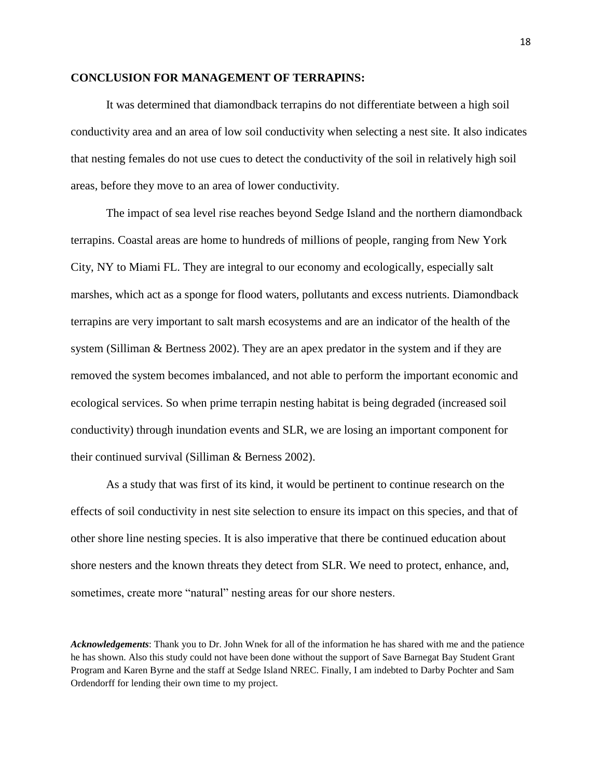# **CONCLUSION FOR MANAGEMENT OF TERRAPINS:**

It was determined that diamondback terrapins do not differentiate between a high soil conductivity area and an area of low soil conductivity when selecting a nest site. It also indicates that nesting females do not use cues to detect the conductivity of the soil in relatively high soil areas, before they move to an area of lower conductivity.

The impact of sea level rise reaches beyond Sedge Island and the northern diamondback terrapins. Coastal areas are home to hundreds of millions of people, ranging from New York City, NY to Miami FL. They are integral to our economy and ecologically, especially salt marshes, which act as a sponge for flood waters, pollutants and excess nutrients. Diamondback terrapins are very important to salt marsh ecosystems and are an indicator of the health of the system (Silliman & Bertness 2002). They are an apex predator in the system and if they are removed the system becomes imbalanced, and not able to perform the important economic and ecological services. So when prime terrapin nesting habitat is being degraded (increased soil conductivity) through inundation events and SLR, we are losing an important component for their continued survival (Silliman & Berness 2002).

As a study that was first of its kind, it would be pertinent to continue research on the effects of soil conductivity in nest site selection to ensure its impact on this species, and that of other shore line nesting species. It is also imperative that there be continued education about shore nesters and the known threats they detect from SLR. We need to protect, enhance, and, sometimes, create more "natural" nesting areas for our shore nesters.

*Acknowledgements*: Thank you to Dr. John Wnek for all of the information he has shared with me and the patience he has shown. Also this study could not have been done without the support of Save Barnegat Bay Student Grant Program and Karen Byrne and the staff at Sedge Island NREC. Finally, I am indebted to Darby Pochter and Sam Ordendorff for lending their own time to my project.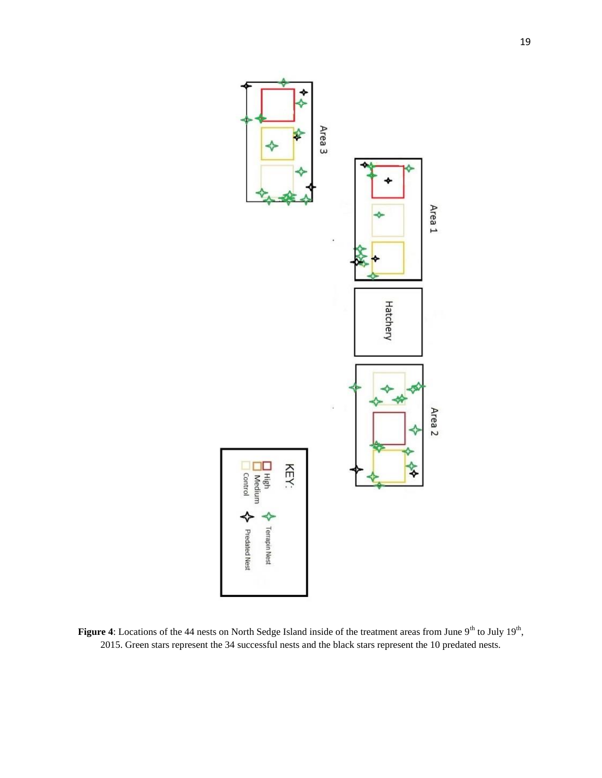![](_page_18_Figure_0.jpeg)

Figure 4: Locations of the 44 nests on North Sedge Island inside of the treatment areas from June 9<sup>th</sup> to July 19<sup>th</sup>, 2015. Green stars represent the 34 successful nests and the black stars represent the 10 predated nests.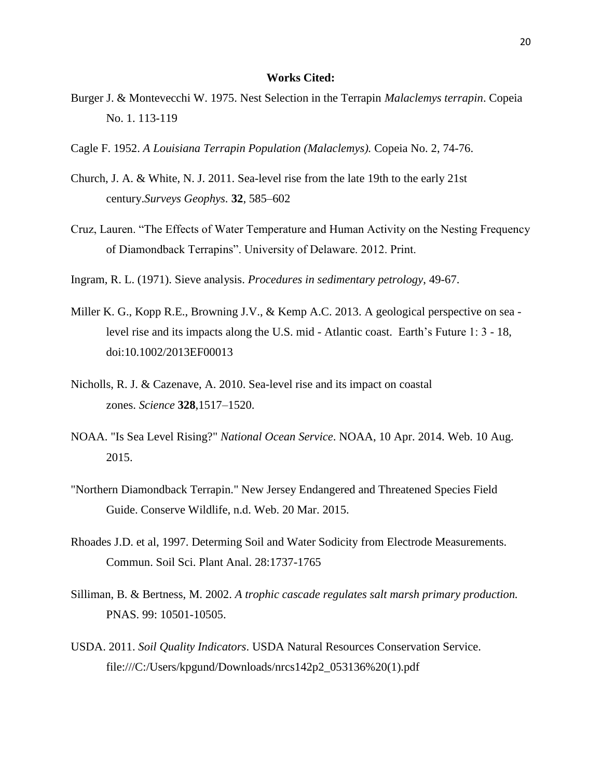# **Works Cited:**

- Burger J. & Montevecchi W. 1975. Nest Selection in the Terrapin *Malaclemys terrapin*. Copeia No. 1. 113-119
- Cagle F. 1952. *A Louisiana Terrapin Population (Malaclemys).* Copeia No. 2, 74-76.
- Church, J. A. & White, N. J. 2011. Sea-level rise from the late 19th to the early 21st century.*Surveys Geophys.* **32**, 585–602
- Cruz, Lauren. "The Effects of Water Temperature and Human Activity on the Nesting Frequency of Diamondback Terrapins". University of Delaware. 2012. Print.
- Ingram, R. L. (1971). Sieve analysis. *Procedures in sedimentary petrology*, 49-67.
- Miller K. G., Kopp R.E., Browning J.V., & Kemp A.C. 2013. A geological perspective on sea level rise and its impacts along the U.S. mid - Atlantic coast. Earth's Future 1: 3 - 18, doi:10.1002/2013EF00013
- Nicholls, R. J. & Cazenave, A. 2010. Sea-level rise and its impact on coastal zones. *Science* **328**,1517–1520.
- NOAA. "Is Sea Level Rising?" *National Ocean Service*. NOAA, 10 Apr. 2014. Web. 10 Aug. 2015.
- "Northern Diamondback Terrapin." New Jersey Endangered and Threatened Species Field Guide. Conserve Wildlife, n.d. Web. 20 Mar. 2015.
- Rhoades J.D. et al, 1997. Determing Soil and Water Sodicity from Electrode Measurements. Commun. Soil Sci. Plant Anal. 28:1737-1765
- Silliman, B. & Bertness, M. 2002. *A trophic cascade regulates salt marsh primary production.* PNAS. 99: 10501-10505.
- USDA. 2011. *Soil Quality Indicators*. USDA Natural Resources Conservation Service. file:///C:/Users/kpgund/Downloads/nrcs142p2\_053136%20(1).pdf